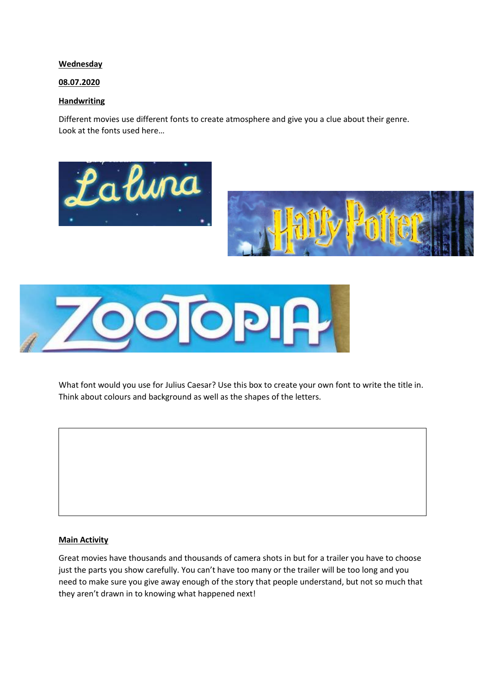## **Wednesday**

## 08.07.2020

## **Handwriting**

Different movies use different fonts to create atmosphere and give you a clue about their genre. Look at the fonts used here…





What font would you use for Julius Caesar? Use this box to create your own font to write the title in. Think about colours and background as well as the shapes of the letters.

## Main Activity

Great movies have thousands and thousands of camera shots in but for a trailer you have to choose just the parts you show carefully. You can't have too many or the trailer will be too long and you need to make sure you give away enough of the story that people understand, but not so much that they aren't drawn in to knowing what happened next!